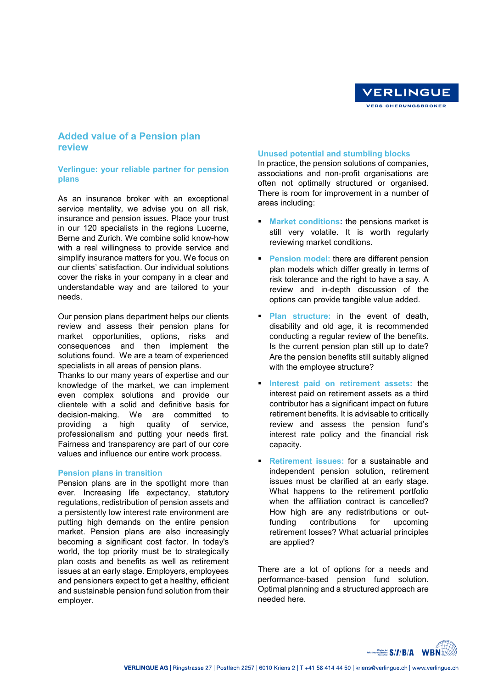

# **Added value of a Pension plan review**

## **Verlingue: your reliable partner for pension plans**

As an insurance broker with an exceptional service mentality, we advise you on all risk, insurance and pension issues. Place your trust in our 120 specialists in the regions Lucerne, Berne and Zurich. We combine solid know-how with a real willingness to provide service and simplify insurance matters for you. We focus on our clients' satisfaction. Our individual solutions cover the risks in your company in a clear and understandable way and are tailored to your needs.

Our pension plans department helps our clients review and assess their pension plans for market opportunities, options, risks and consequences and then implement the solutions found. We are a team of experienced specialists in all areas of pension plans.

Thanks to our many years of expertise and our knowledge of the market, we can implement even complex solutions and provide our clientele with a solid and definitive basis for decision-making. We are committed to providing a high quality of service, professionalism and putting your needs first. Fairness and transparency are part of our core values and influence our entire work process.

### **Pension plans in transition**

Pension plans are in the spotlight more than ever. Increasing life expectancy, statutory regulations, redistribution of pension assets and a persistently low interest rate environment are putting high demands on the entire pension market. Pension plans are also increasingly becoming a significant cost factor. In today's world, the top priority must be to strategically plan costs and benefits as well as retirement issues at an early stage. Employers, employees and pensioners expect to get a healthy, efficient and sustainable pension fund solution from their employer.

#### **Unused potential and stumbling blocks**

In practice, the pension solutions of companies, associations and non-profit organisations are often not optimally structured or organised. There is room for improvement in a number of areas including:

- **Market conditions:** the pensions market is still very volatile. It is worth regularly reviewing market conditions.
- **Pension model:** there are different pension plan models which differ greatly in terms of risk tolerance and the right to have a say. A review and in-depth discussion of the options can provide tangible value added.
- **Plan structure:** in the event of death, disability and old age, it is recommended conducting a regular review of the benefits. Is the current pension plan still up to date? Are the pension benefits still suitably aligned with the employee structure?
- **Interest paid on retirement assets:** the interest paid on retirement assets as a third contributor has a significant impact on future retirement benefits. It is advisable to critically review and assess the pension fund's interest rate policy and the financial risk capacity.
- **Retirement issues:** for a sustainable and independent pension solution, retirement issues must be clarified at an early stage. What happens to the retirement portfolio when the affiliation contract is cancelled? How high are any redistributions or outfunding contributions for upcoming retirement losses? What actuarial principles are applied?

There are a lot of options for a needs and performance-based pension fund solution. Optimal planning and a structured approach are needed here.

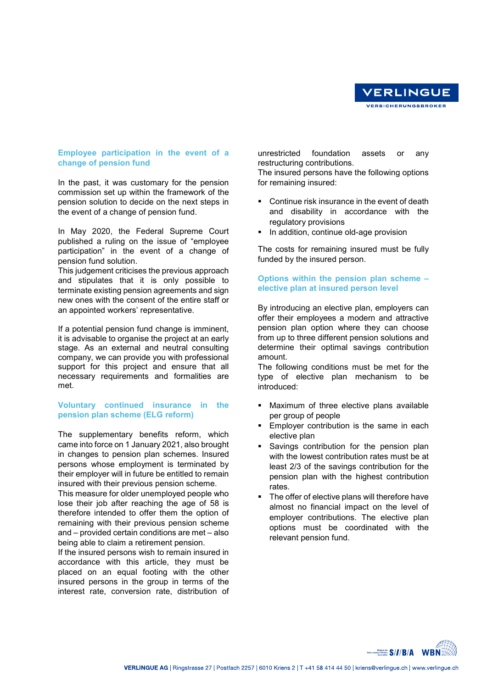

## **Employee participation in the event of a change of pension fund**

In the past, it was customary for the pension commission set up within the framework of the pension solution to decide on the next steps in the event of a change of pension fund.

In May 2020, the Federal Supreme Court published a ruling on the issue of "employee participation" in the event of a change of pension fund solution.

This judgement criticises the previous approach and stipulates that it is only possible to terminate existing pension agreements and sign new ones with the consent of the entire staff or an appointed workers' representative.

If a potential pension fund change is imminent, it is advisable to organise the project at an early stage. As an external and neutral consulting company, we can provide you with professional support for this project and ensure that all necessary requirements and formalities are met.

# **Voluntary continued insurance in the pension plan scheme (ELG reform)**

The supplementary benefits reform, which came into force on 1 January 2021, also brought in changes to pension plan schemes. Insured persons whose employment is terminated by their employer will in future be entitled to remain insured with their previous pension scheme.

This measure for older unemployed people who lose their job after reaching the age of 58 is therefore intended to offer them the option of remaining with their previous pension scheme and – provided certain conditions are met – also being able to claim a retirement pension.

If the insured persons wish to remain insured in accordance with this article, they must be placed on an equal footing with the other insured persons in the group in terms of the interest rate, conversion rate, distribution of

unrestricted foundation assets or any restructuring contributions.

The insured persons have the following options for remaining insured:

- Continue risk insurance in the event of death and disability in accordance with the regulatory provisions
- **In addition, continue old-age provision**

The costs for remaining insured must be fully funded by the insured person.

# **Options within the pension plan scheme – elective plan at insured person level**

By introducing an elective plan, employers can offer their employees a modern and attractive pension plan option where they can choose from up to three different pension solutions and determine their optimal savings contribution amount.

The following conditions must be met for the type of elective plan mechanism to be introduced:

- Maximum of three elective plans available per group of people
- **Employer contribution is the same in each** elective plan
- Savings contribution for the pension plan with the lowest contribution rates must be at least 2/3 of the savings contribution for the pension plan with the highest contribution rates.
- The offer of elective plans will therefore have almost no financial impact on the level of employer contributions. The elective plan options must be coordinated with the relevant pension fund.